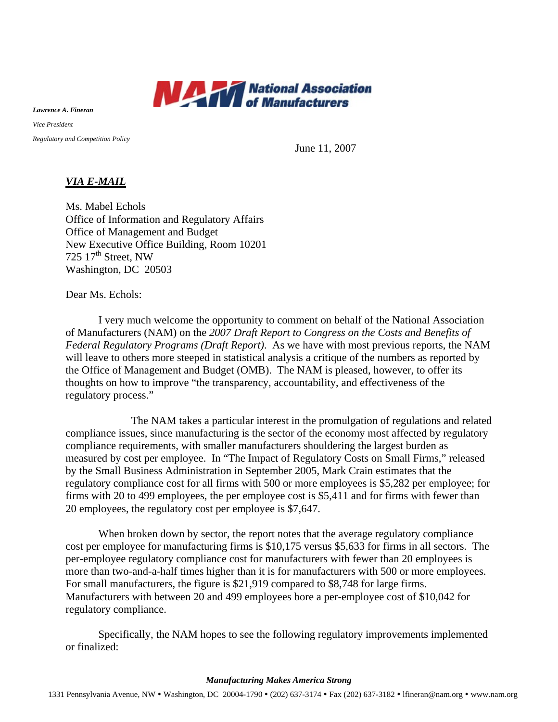

*Lawrence A. Fineran* 

*Vice President* 

*Regulatory and Competition Policy* 

June 11, 2007

## *VIA E-MAIL*

Ms. Mabel Echols Office of Information and Regulatory Affairs Office of Management and Budget New Executive Office Building, Room 10201 725  $17<sup>th</sup>$  Street, NW Washington, DC 20503

Dear Ms. Echols:

I very much welcome the opportunity to comment on behalf of the National Association of Manufacturers (NAM) on the *2007 Draft Report to Congress on the Costs and Benefits of Federal Regulatory Programs (Draft Report)*. As we have with most previous reports, the NAM will leave to others more steeped in statistical analysis a critique of the numbers as reported by the Office of Management and Budget (OMB). The NAM is pleased, however, to offer its thoughts on how to improve "the transparency, accountability, and effectiveness of the regulatory process."

The NAM takes a particular interest in the promulgation of regulations and related compliance issues, since manufacturing is the sector of the economy most affected by regulatory compliance requirements, with smaller manufacturers shouldering the largest burden as measured by cost per employee. In "The Impact of Regulatory Costs on Small Firms," released by the Small Business Administration in September 2005, Mark Crain estimates that the regulatory compliance cost for all firms with 500 or more employees is \$5,282 per employee; for firms with 20 to 499 employees, the per employee cost is \$5,411 and for firms with fewer than 20 employees, the regulatory cost per employee is \$7,647.

When broken down by sector, the report notes that the average regulatory compliance cost per employee for manufacturing firms is \$10,175 versus \$5,633 for firms in all sectors. The per-employee regulatory compliance cost for manufacturers with fewer than 20 employees is more than two-and-a-half times higher than it is for manufacturers with 500 or more employees. For small manufacturers, the figure is \$21,919 compared to \$8,748 for large firms. Manufacturers with between 20 and 499 employees bore a per-employee cost of \$10,042 for regulatory compliance.

Specifically, the NAM hopes to see the following regulatory improvements implemented or finalized:

## *Manufacturing Makes America Strong*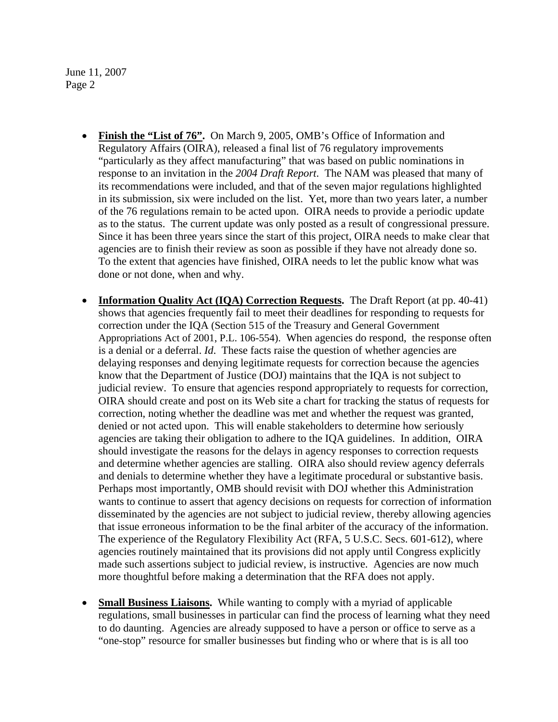June 11, 2007 Page 2

- **Finish the "List of 76".** On March 9, 2005, OMB's Office of Information and Regulatory Affairs (OIRA), released a final list of 76 regulatory improvements "particularly as they affect manufacturing" that was based on public nominations in response to an invitation in the *2004 Draft Report*. The NAM was pleased that many of its recommendations were included, and that of the seven major regulations highlighted in its submission, six were included on the list. Yet, more than two years later, a number of the 76 regulations remain to be acted upon. OIRA needs to provide a periodic update as to the status. The current update was only posted as a result of congressional pressure. Since it has been three years since the start of this project, OIRA needs to make clear that agencies are to finish their review as soon as possible if they have not already done so. To the extent that agencies have finished, OIRA needs to let the public know what was done or not done, when and why.
- **Information Quality Act (IQA) Correction Requests.** The Draft Report (at pp. 40-41) shows that agencies frequently fail to meet their deadlines for responding to requests for correction under the IQA (Section 515 of the Treasury and General Government Appropriations Act of 2001, P.L. 106-554). When agencies do respond, the response often is a denial or a deferral. *Id*. These facts raise the question of whether agencies are delaying responses and denying legitimate requests for correction because the agencies know that the Department of Justice (DOJ) maintains that the IQA is not subject to judicial review. To ensure that agencies respond appropriately to requests for correction, OIRA should create and post on its Web site a chart for tracking the status of requests for correction, noting whether the deadline was met and whether the request was granted, denied or not acted upon. This will enable stakeholders to determine how seriously agencies are taking their obligation to adhere to the IQA guidelines. In addition, OIRA should investigate the reasons for the delays in agency responses to correction requests and determine whether agencies are stalling. OIRA also should review agency deferrals and denials to determine whether they have a legitimate procedural or substantive basis. Perhaps most importantly, OMB should revisit with DOJ whether this Administration wants to continue to assert that agency decisions on requests for correction of information disseminated by the agencies are not subject to judicial review, thereby allowing agencies that issue erroneous information to be the final arbiter of the accuracy of the information. The experience of the Regulatory Flexibility Act (RFA, 5 U.S.C. Secs. 601-612), where agencies routinely maintained that its provisions did not apply until Congress explicitly made such assertions subject to judicial review, is instructive. Agencies are now much more thoughtful before making a determination that the RFA does not apply.
- **Small Business Liaisons.** While wanting to comply with a myriad of applicable regulations, small businesses in particular can find the process of learning what they need to do daunting. Agencies are already supposed to have a person or office to serve as a "one-stop" resource for smaller businesses but finding who or where that is is all too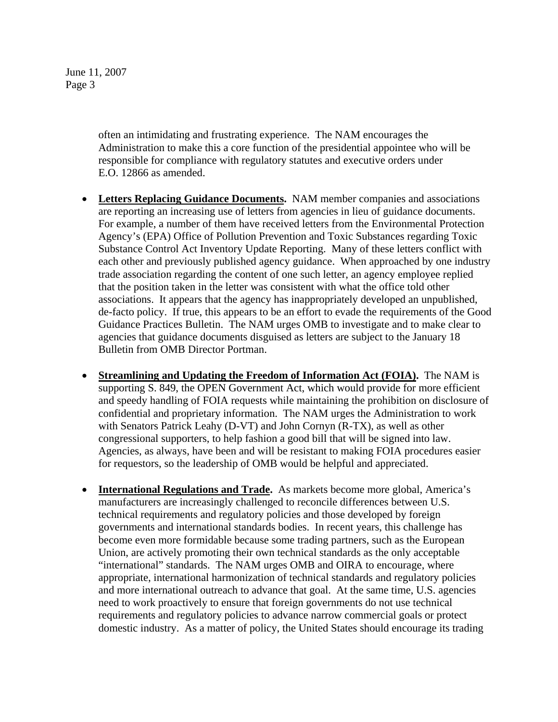June 11, 2007 Page 3

> often an intimidating and frustrating experience. The NAM encourages the Administration to make this a core function of the presidential appointee who will be responsible for compliance with regulatory statutes and executive orders under E.O. 12866 as amended.

- • **Letters Replacing Guidance Documents.** NAM member companies and associations are reporting an increasing use of letters from agencies in lieu of guidance documents. For example, a number of them have received letters from the Environmental Protection Agency's (EPA) Office of Pollution Prevention and Toxic Substances regarding Toxic Substance Control Act Inventory Update Reporting. Many of these letters conflict with each other and previously published agency guidance. When approached by one industry trade association regarding the content of one such letter, an agency employee replied that the position taken in the letter was consistent with what the office told other associations. It appears that the agency has inappropriately developed an unpublished, de-facto policy. If true, this appears to be an effort to evade the requirements of the Good Guidance Practices Bulletin. The NAM urges OMB to investigate and to make clear to agencies that guidance documents disguised as letters are subject to the January 18 Bulletin from OMB Director Portman.
- **Streamlining and Updating the Freedom of Information Act (FOIA).** The NAM is supporting S. 849, the OPEN Government Act, which would provide for more efficient and speedy handling of FOIA requests while maintaining the prohibition on disclosure of confidential and proprietary information. The NAM urges the Administration to work with Senators Patrick Leahy (D-VT) and John Cornyn (R-TX), as well as other congressional supporters, to help fashion a good bill that will be signed into law. Agencies, as always, have been and will be resistant to making FOIA procedures easier for requestors, so the leadership of OMB would be helpful and appreciated.
- **International Regulations and Trade.** As markets become more global, America's manufacturers are increasingly challenged to reconcile differences between U.S. technical requirements and regulatory policies and those developed by foreign governments and international standards bodies. In recent years, this challenge has become even more formidable because some trading partners, such as the European Union, are actively promoting their own technical standards as the only acceptable "international" standards. The NAM urges OMB and OIRA to encourage, where appropriate, international harmonization of technical standards and regulatory policies and more international outreach to advance that goal. At the same time, U.S. agencies need to work proactively to ensure that foreign governments do not use technical requirements and regulatory policies to advance narrow commercial goals or protect domestic industry. As a matter of policy, the United States should encourage its trading